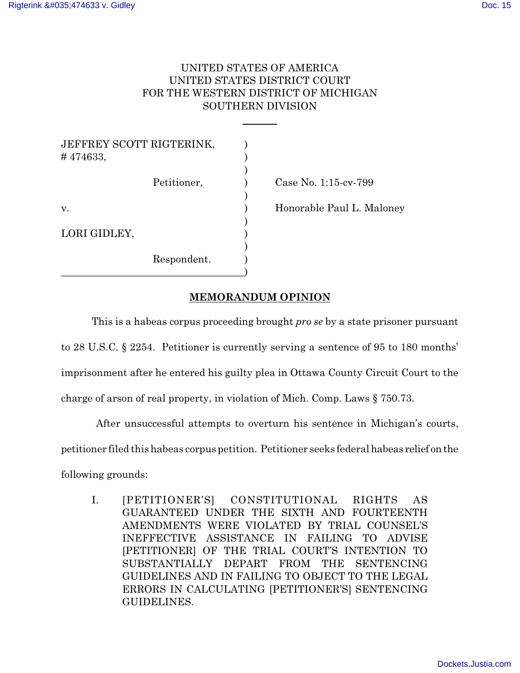# UNITED STATES OF AMERICA UNITED STATES DISTRICT COURT FOR THE WESTERN DISTRICT OF MICHIGAN SOUTHERN DIVISION

| JEFFREY SCOTT RIGTERINK,<br>#474633, |                           |
|--------------------------------------|---------------------------|
| Petitioner,                          | Case No. 1:15-cv-799      |
| v.                                   | Honorable Paul L. Maloney |
| LORI GIDLEY,                         |                           |
| Respondent.                          |                           |

 $\qquad \qquad \qquad \qquad \qquad$ 

## **MEMORANDUM OPINION**

This is a habeas corpus proceeding brought *pro se* by a state prisoner pursuant to 28 U.S.C. § 2254. Petitioner is currently serving a sentence of 95 to 180 months' imprisonment after he entered his guilty plea in Ottawa County Circuit Court to the charge of arson of real property, in violation of Mich. Comp. Laws § 750.73.

After unsuccessful attempts to overturn his sentence in Michigan's courts, petitioner filed this habeas corpus petition. Petitioner seeks federalhabeas relief onthe following grounds:

I. [PETITIONER'S] CONSTITUTIONAL RIGHTS AS GUARANTEED UNDER THE SIXTH AND FOURTEENTH AMENDMENTS WERE VIOLATED BY TRIAL COUNSEL'S INEFFECTIVE ASSISTANCE IN FAILING TO ADVISE [PETITIONER] OF THE TRIAL COURT'S INTENTION TO SUBSTANTIALLY DEPART FROM THE SENTENCING GUIDELINES AND IN FAILING TO OBJECT TO THE LEGAL ERRORS IN CALCULATING [PETITIONER'S] SENTENCING GUIDELINES.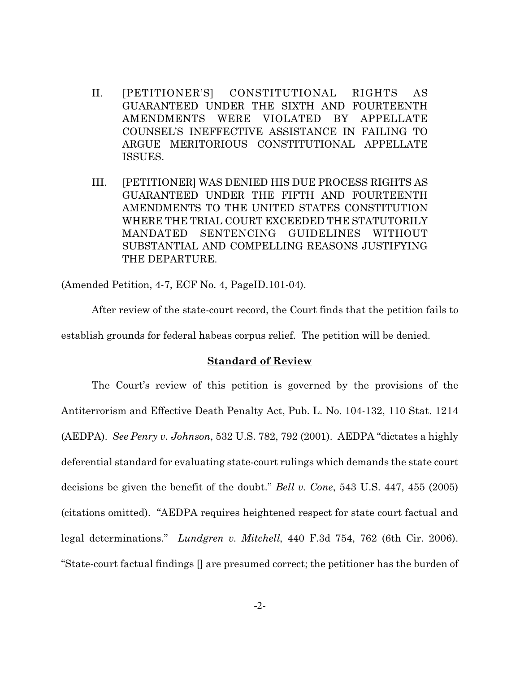- II. [PETITIONER'S] CONSTITUTIONAL RIGHTS AS GUARANTEED UNDER THE SIXTH AND FOURTEENTH AMENDMENTS WERE VIOLATED BY APPELLATE COUNSEL'S INEFFECTIVE ASSISTANCE IN FAILING TO ARGUE MERITORIOUS CONSTITUTIONAL APPELLATE ISSUES.
- III. [PETITIONER] WAS DENIED HIS DUE PROCESS RIGHTS AS GUARANTEED UNDER THE FIFTH AND FOURTEENTH AMENDMENTS TO THE UNITED STATES CONSTITUTION WHERE THE TRIAL COURT EXCEEDED THE STATUTORILY MANDATED SENTENCING GUIDELINES WITHOUT SUBSTANTIAL AND COMPELLING REASONS JUSTIFYING THE DEPARTURE.

(Amended Petition, 4-7, ECF No. 4, PageID.101-04).

After review of the state-court record, the Court finds that the petition fails to establish grounds for federal habeas corpus relief. The petition will be denied.

#### **Standard of Review**

The Court's review of this petition is governed by the provisions of the Antiterrorism and Effective Death Penalty Act, Pub. L. No. 104-132, 110 Stat. 1214 (AEDPA). *See Penry v. Johnson*, 532 U.S. 782, 792 (2001). AEDPA "dictates a highly deferential standard for evaluating state-court rulings which demands the state court decisions be given the benefit of the doubt." *Bell v. Cone*, 543 U.S. 447, 455 (2005) (citations omitted). "AEDPA requires heightened respect for state court factual and legal determinations." *Lundgren v. Mitchell*, 440 F.3d 754, 762 (6th Cir. 2006). "State-court factual findings [] are presumed correct; the petitioner has the burden of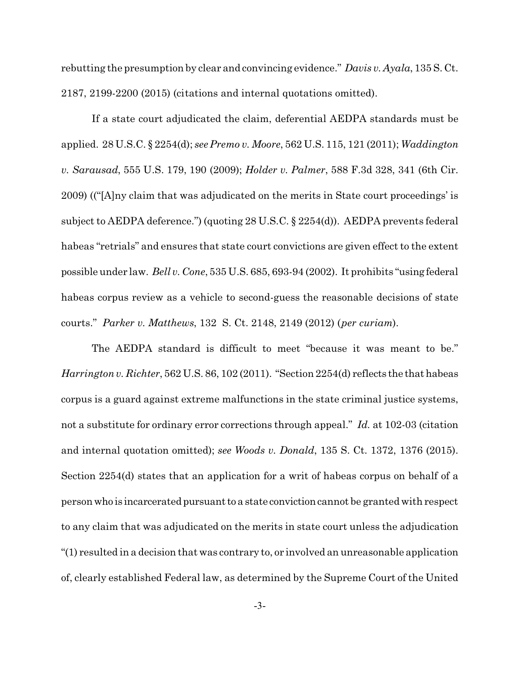rebutting the presumption by clear and convincing evidence." *Davis v. Ayala*, 135 S. Ct. 2187, 2199-2200 (2015) (citations and internal quotations omitted).

If a state court adjudicated the claim, deferential AEDPA standards must be applied. 28 U.S.C. § 2254(d); *see Premo v. Moore*, 562 U.S. 115, 121 (2011); *Waddington v. Sarausad*, 555 U.S. 179, 190 (2009); *Holder v. Palmer*, 588 F.3d 328, 341 (6th Cir. 2009) (("[A]ny claim that was adjudicated on the merits in State court proceedings' is subject to AEDPA deference.") (quoting 28 U.S.C. § 2254(d)). AEDPA prevents federal habeas "retrials" and ensures that state court convictions are given effect to the extent possible under law. *Bell v. Cone*, 535 U.S. 685, 693-94 (2002). It prohibits "using federal habeas corpus review as a vehicle to second-guess the reasonable decisions of state courts." *Parker v. Matthews*, 132 S. Ct. 2148, 2149 (2012) (*per curiam*).

The AEDPA standard is difficult to meet "because it was meant to be." *Harrington v. Richter*, 562 U.S. 86, 102 (2011). "Section 2254(d) reflects the that habeas corpus is a guard against extreme malfunctions in the state criminal justice systems, not a substitute for ordinary error corrections through appeal." *Id.* at 102-03 (citation and internal quotation omitted); *see Woods v. Donald*, 135 S. Ct. 1372, 1376 (2015). Section 2254(d) states that an application for a writ of habeas corpus on behalf of a person who is incarcerated pursuant to a state conviction cannot be granted with respect to any claim that was adjudicated on the merits in state court unless the adjudication "(1) resulted in a decision that was contrary to, or involved an unreasonable application of, clearly established Federal law, as determined by the Supreme Court of the United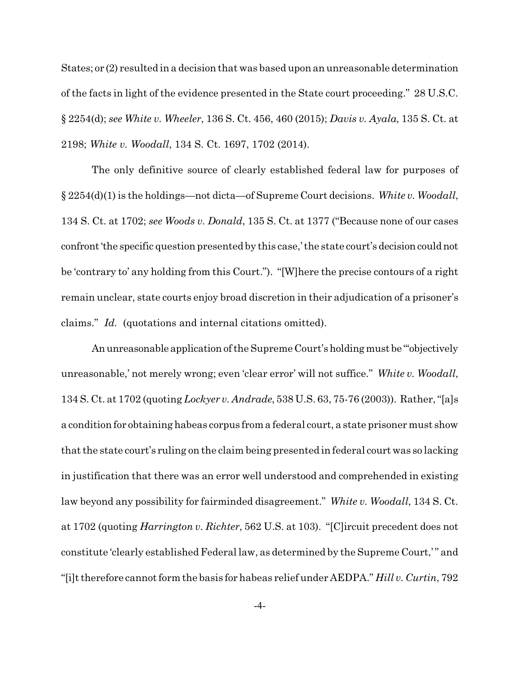States; or (2) resulted in a decision that was based upon an unreasonable determination of the facts in light of the evidence presented in the State court proceeding." 28 U.S.C. § 2254(d); *see White v. Wheeler*, 136 S. Ct. 456, 460 (2015); *Davis v. Ayala*, 135 S. Ct. at 2198; *White v. Woodall*, 134 S. Ct. 1697, 1702 (2014).

The only definitive source of clearly established federal law for purposes of § 2254(d)(1) is the holdings—not dicta—of Supreme Court decisions. *White v. Woodall*, 134 S. Ct. at 1702; *see Woods v. Donald*, 135 S. Ct. at 1377 ("Because none of our cases confront 'the specific question presented by this case,' the state court's decision could not be 'contrary to' any holding from this Court."). "[W]here the precise contours of a right remain unclear, state courts enjoy broad discretion in their adjudication of a prisoner's claims." *Id.* (quotations and internal citations omitted).

An unreasonable application of the Supreme Court's holding must be "objectively unreasonable,' not merely wrong; even 'clear error' will not suffice." *White v. Woodall*, 134 S. Ct. at 1702 (quoting *Lockyer v. Andrade*, 538 U.S. 63, 75-76 (2003)). Rather, "[a]s a condition for obtaining habeas corpus from a federal court, a state prisoner must show that the state court's ruling on the claim being presented in federal court was so lacking in justification that there was an error well understood and comprehended in existing law beyond any possibility for fairminded disagreement." *White v. Woodall*, 134 S. Ct. at 1702 (quoting *Harrington v. Richter*, 562 U.S. at 103). "[C]ircuit precedent does not constitute 'clearly established Federal law, as determined by the Supreme Court,' " and "[i]t therefore cannot form the basis for habeas relief under AEDPA." *Hill v. Curtin*, 792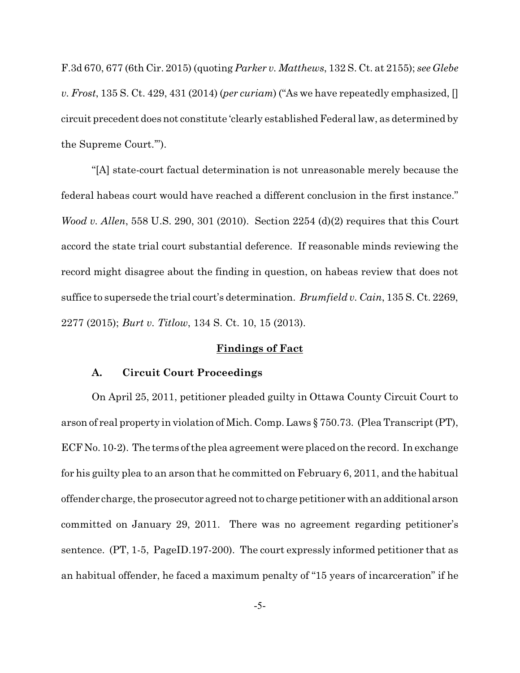F.3d 670, 677 (6th Cir. 2015) (quoting *Parker v. Matthews*, 132 S. Ct. at 2155); *see Glebe v. Frost*, 135 S. Ct. 429, 431 (2014) (*per curiam*) ("As we have repeatedly emphasized, [] circuit precedent does not constitute 'clearly established Federal law, as determined by the Supreme Court.'").

"[A] state-court factual determination is not unreasonable merely because the federal habeas court would have reached a different conclusion in the first instance." *Wood v. Allen*, 558 U.S. 290, 301 (2010). Section 2254 (d)(2) requires that this Court accord the state trial court substantial deference. If reasonable minds reviewing the record might disagree about the finding in question, on habeas review that does not suffice to supersede the trial court's determination. *Brumfield v. Cain*, 135 S. Ct. 2269, 2277 (2015); *Burt v. Titlow*, 134 S. Ct. 10, 15 (2013).

## **Findings of Fact**

#### **A. Circuit Court Proceedings**

On April 25, 2011, petitioner pleaded guilty in Ottawa County Circuit Court to arson of real property in violation of Mich. Comp. Laws § 750.73. (Plea Transcript (PT), ECF No. 10-2). The terms of the plea agreement were placed on the record. In exchange for his guilty plea to an arson that he committed on February 6, 2011, and the habitual offender charge, the prosecutor agreed not to charge petitioner with an additional arson committed on January 29, 2011. There was no agreement regarding petitioner's sentence. (PT, 1-5, PageID.197-200). The court expressly informed petitioner that as an habitual offender, he faced a maximum penalty of "15 years of incarceration" if he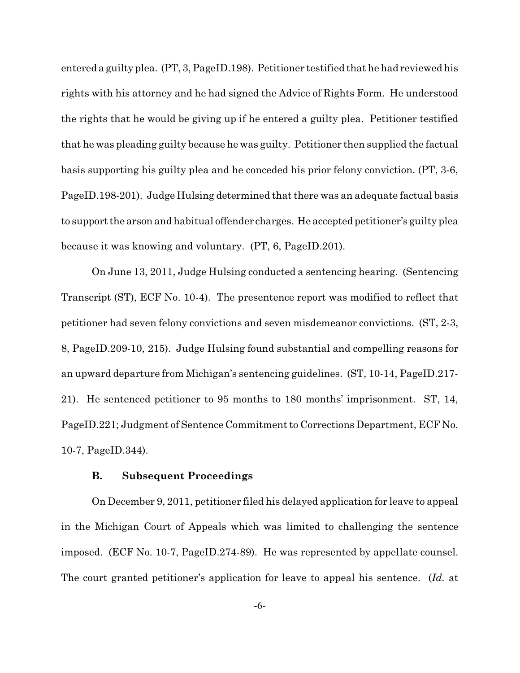entered a guilty plea. (PT, 3, PageID.198). Petitioner testified that he had reviewed his rights with his attorney and he had signed the Advice of Rights Form. He understood the rights that he would be giving up if he entered a guilty plea. Petitioner testified that he was pleading guilty because he was guilty. Petitioner then supplied the factual basis supporting his guilty plea and he conceded his prior felony conviction. (PT, 3-6, PageID.198-201). Judge Hulsing determined that there was an adequate factual basis to support the arson and habitual offender charges. He accepted petitioner's guilty plea because it was knowing and voluntary. (PT, 6, PageID.201).

On June 13, 2011, Judge Hulsing conducted a sentencing hearing. (Sentencing Transcript (ST), ECF No. 10-4). The presentence report was modified to reflect that petitioner had seven felony convictions and seven misdemeanor convictions. (ST, 2-3, 8, PageID.209-10, 215). Judge Hulsing found substantial and compelling reasons for an upward departure from Michigan's sentencing guidelines. (ST, 10-14, PageID.217- 21). He sentenced petitioner to 95 months to 180 months' imprisonment. ST, 14, PageID.221; Judgment of Sentence Commitment to Corrections Department, ECF No. 10-7, PageID.344).

### **B. Subsequent Proceedings**

On December 9, 2011, petitioner filed his delayed application for leave to appeal in the Michigan Court of Appeals which was limited to challenging the sentence imposed. (ECF No. 10-7, PageID.274-89). He was represented by appellate counsel. The court granted petitioner's application for leave to appeal his sentence. (*Id.* at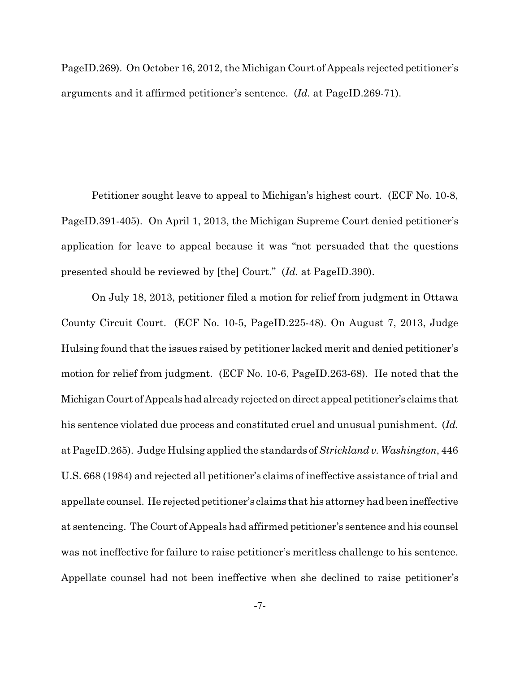PageID.269). On October 16, 2012, the Michigan Court of Appeals rejected petitioner's arguments and it affirmed petitioner's sentence. (*Id.* at PageID.269-71).

Petitioner sought leave to appeal to Michigan's highest court. (ECF No. 10-8, PageID.391-405). On April 1, 2013, the Michigan Supreme Court denied petitioner's application for leave to appeal because it was "not persuaded that the questions presented should be reviewed by [the] Court." (*Id.* at PageID.390).

On July 18, 2013, petitioner filed a motion for relief from judgment in Ottawa County Circuit Court. (ECF No. 10-5, PageID.225-48). On August 7, 2013, Judge Hulsing found that the issues raised by petitioner lacked merit and denied petitioner's motion for relief from judgment. (ECF No. 10-6, PageID.263-68). He noted that the MichiganCourt of Appeals had already rejected on direct appeal petitioner's claims that his sentence violated due process and constituted cruel and unusual punishment. (*Id.* at PageID.265). Judge Hulsing applied the standards of *Strickland v. Washington*, 446 U.S. 668 (1984) and rejected all petitioner's claims of ineffective assistance of trial and appellate counsel. He rejected petitioner's claims that his attorney had been ineffective at sentencing. The Court of Appeals had affirmed petitioner's sentence and his counsel was not ineffective for failure to raise petitioner's meritless challenge to his sentence. Appellate counsel had not been ineffective when she declined to raise petitioner's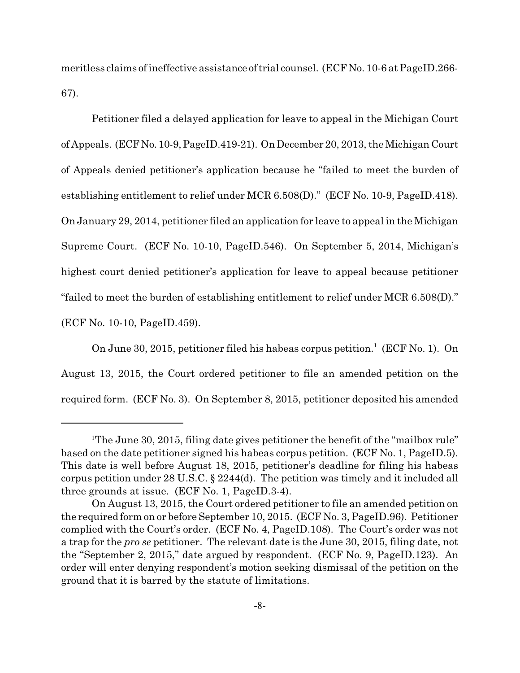meritless claims of ineffective assistance oftrial counsel. (ECF No. 10-6 at PageID.266- 67).

Petitioner filed a delayed application for leave to appeal in the Michigan Court of Appeals. (ECF No. 10-9,PageID.419-21). On December 20, 2013, the Michigan Court of Appeals denied petitioner's application because he "failed to meet the burden of establishing entitlement to relief under MCR 6.508(D)." (ECF No. 10-9, PageID.418). On January 29, 2014, petitioner filed an application for leave to appeal in the Michigan Supreme Court. (ECF No. 10-10, PageID.546). On September 5, 2014, Michigan's highest court denied petitioner's application for leave to appeal because petitioner "failed to meet the burden of establishing entitlement to relief under MCR 6.508(D)." (ECF No. 10-10, PageID.459).

On June 30, 2015, petitioner filed his habeas corpus petition.<sup>1</sup> (ECF No. 1). On August 13, 2015, the Court ordered petitioner to file an amended petition on the required form. (ECF No. 3). On September 8, 2015, petitioner deposited his amended

<sup>&</sup>lt;sup>1</sup>The June 30, 2015, filing date gives petitioner the benefit of the "mailbox rule" based on the date petitioner signed his habeas corpus petition. (ECF No. 1, PageID.5). This date is well before August 18, 2015, petitioner's deadline for filing his habeas corpus petition under 28 U.S.C. § 2244(d). The petition was timely and it included all three grounds at issue. (ECF No. 1, PageID.3-4).

On August 13, 2015, the Court ordered petitioner to file an amended petition on the required form on or before September 10, 2015. (ECF No. 3, PageID.96). Petitioner complied with the Court's order. (ECF No. 4, PageID.108). The Court's order was not a trap for the *pro se* petitioner. The relevant date is the June 30, 2015, filing date, not the "September 2, 2015," date argued by respondent. (ECF No. 9, PageID.123). An order will enter denying respondent's motion seeking dismissal of the petition on the ground that it is barred by the statute of limitations.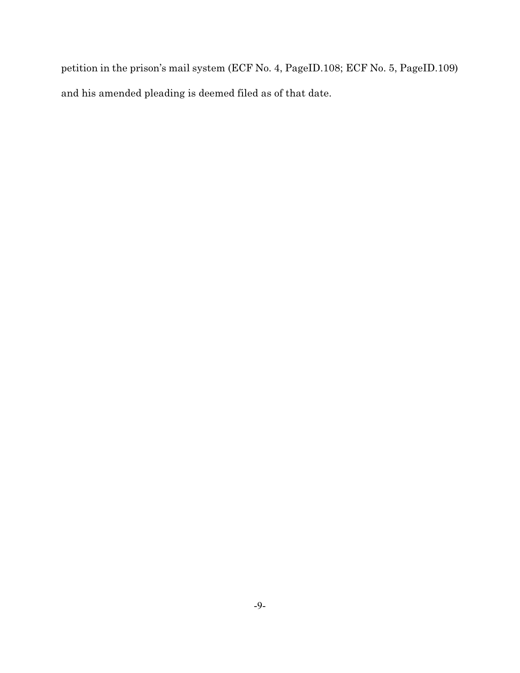petition in the prison's mail system (ECF No. 4, PageID.108; ECF No. 5, PageID.109) and his amended pleading is deemed filed as of that date.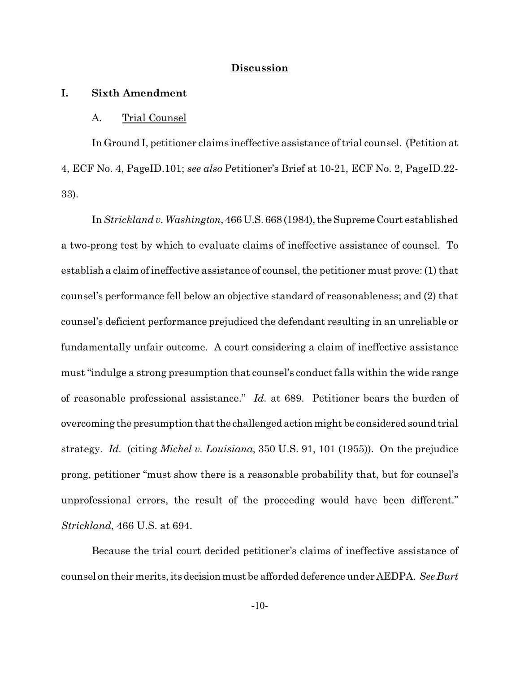#### **Discussion**

#### **I. Sixth Amendment**

#### A. Trial Counsel

In Ground I, petitioner claims ineffective assistance of trial counsel. (Petition at 4, ECF No. 4, PageID.101; *see also* Petitioner's Brief at 10-21, ECF No. 2, PageID.22- 33).

In *Strickland v. Washington*, 466 U.S. 668 (1984), the Supreme Court established a two-prong test by which to evaluate claims of ineffective assistance of counsel. To establish a claim of ineffective assistance of counsel, the petitioner must prove: (1) that counsel's performance fell below an objective standard of reasonableness; and (2) that counsel's deficient performance prejudiced the defendant resulting in an unreliable or fundamentally unfair outcome. A court considering a claim of ineffective assistance must "indulge a strong presumption that counsel's conduct falls within the wide range of reasonable professional assistance." *Id.* at 689. Petitioner bears the burden of overcoming the presumption that the challenged action might be considered sound trial strategy. *Id.* (citing *Michel v. Louisiana*, 350 U.S. 91, 101 (1955)). On the prejudice prong, petitioner "must show there is a reasonable probability that, but for counsel's unprofessional errors, the result of the proceeding would have been different." *Strickland*, 466 U.S. at 694.

Because the trial court decided petitioner's claims of ineffective assistance of counsel on their merits, its decision must be afforded deference under AEDPA. *See Burt*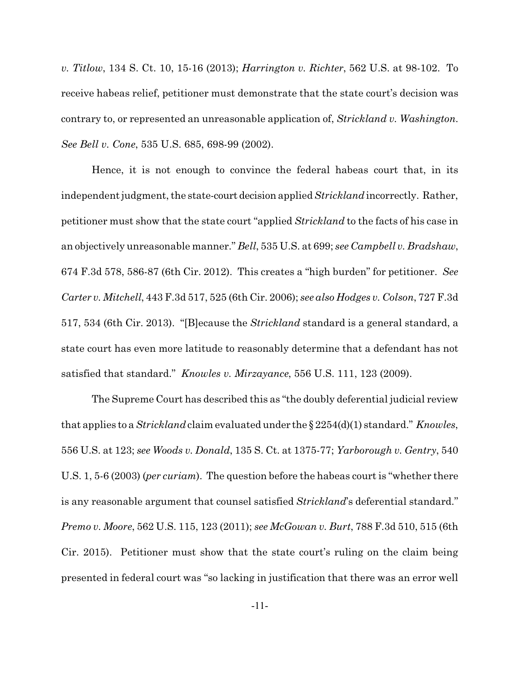*v. Titlow*, 134 S. Ct. 10, 15-16 (2013); *Harrington v. Richter*, 562 U.S. at 98-102. To receive habeas relief, petitioner must demonstrate that the state court's decision was contrary to, or represented an unreasonable application of, *Strickland v. Washington*. *See Bell v. Cone*, 535 U.S. 685, 698-99 (2002).

Hence, it is not enough to convince the federal habeas court that, in its independent judgment, the state-court decision applied *Strickland*incorrectly. Rather, petitioner must show that the state court "applied *Strickland* to the facts of his case in an objectively unreasonable manner." *Bell*, 535 U.S. at 699; *see Campbell v. Bradshaw*, 674 F.3d 578, 586-87 (6th Cir. 2012). This creates a "high burden" for petitioner. *See Carter v. Mitchell*, 443 F.3d 517, 525 (6th Cir. 2006); *see also Hodges v. Colson*, 727 F.3d 517, 534 (6th Cir. 2013). "[B]ecause the *Strickland* standard is a general standard, a state court has even more latitude to reasonably determine that a defendant has not satisfied that standard." *Knowles v. Mirzayance*, 556 U.S. 111, 123 (2009).

The Supreme Court has described this as "the doubly deferential judicial review that applies to a *Strickland*claim evaluated under the § 2254(d)(1) standard." *Knowles*, 556 U.S. at 123; *see Woods v. Donald*, 135 S. Ct. at 1375-77; *Yarborough v. Gentry*, 540 U.S. 1, 5-6 (2003) (*per curiam*). The question before the habeas court is "whether there is any reasonable argument that counsel satisfied *Strickland*'s deferential standard." *Premo v. Moore*, 562 U.S. 115, 123 (2011); *see McGowan v. Burt*, 788 F.3d 510, 515 (6th Cir. 2015). Petitioner must show that the state court's ruling on the claim being presented in federal court was "so lacking in justification that there was an error well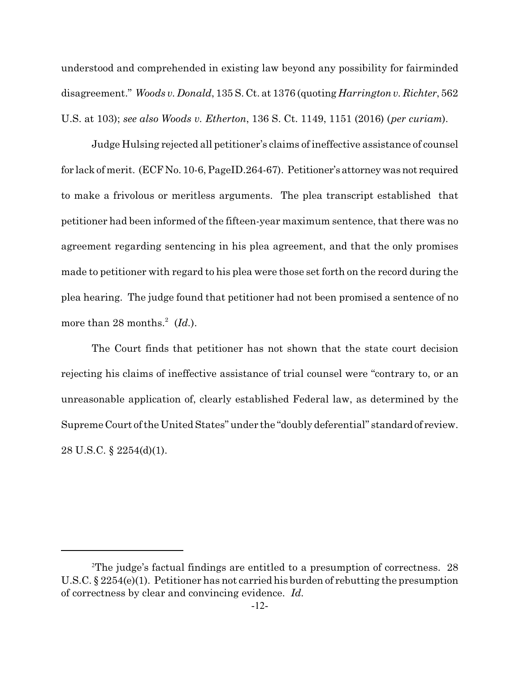understood and comprehended in existing law beyond any possibility for fairminded disagreement." *Woods v. Donald*, 135 S. Ct. at 1376 (quoting *Harrington v. Richter*, 562 U.S. at 103); *see also Woods v. Etherton*, 136 S. Ct. 1149, 1151 (2016) (*per curiam*).

Judge Hulsing rejected all petitioner's claims of ineffective assistance of counsel for lack of merit. (ECF No. 10-6, PageID.264-67). Petitioner's attorneywasnot required to make a frivolous or meritless arguments. The plea transcript established that petitioner had been informed of the fifteen-year maximum sentence, that there was no agreement regarding sentencing in his plea agreement, and that the only promises made to petitioner with regard to his plea were those set forth on the record during the plea hearing. The judge found that petitioner had not been promised a sentence of no more than  $28$  months.<sup>2</sup> (*Id.*).

The Court finds that petitioner has not shown that the state court decision rejecting his claims of ineffective assistance of trial counsel were "contrary to, or an unreasonable application of, clearly established Federal law, as determined by the Supreme Court of the United States" under the "doubly deferential" standardof review. 28 U.S.C. § 2254(d)(1).

<sup>2</sup>The judge's factual findings are entitled to a presumption of correctness. 28 U.S.C. § 2254(e)(1). Petitioner has not carried his burden of rebutting the presumption of correctness by clear and convincing evidence. *Id.*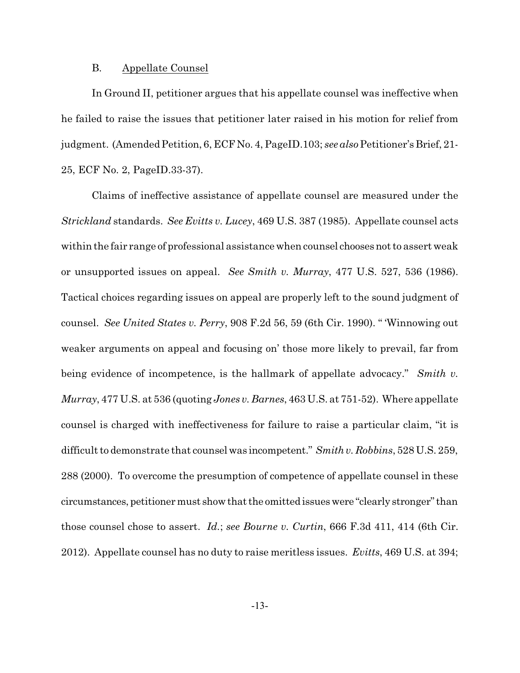#### B. Appellate Counsel

In Ground II, petitioner argues that his appellate counsel was ineffective when he failed to raise the issues that petitioner later raised in his motion for relief from judgment. (Amended Petition, 6, ECF No. 4, PageID.103; *see also* Petitioner's Brief, 21-25, ECF No. 2, PageID.33-37).

Claims of ineffective assistance of appellate counsel are measured under the *Strickland* standards. *See Evitts v. Lucey*, 469 U.S. 387 (1985). Appellate counsel acts within the fair range of professional assistance when counsel choosesnot to assert weak or unsupported issues on appeal. *See Smith v. Murray*, 477 U.S. 527, 536 (1986). Tactical choices regarding issues on appeal are properly left to the sound judgment of counsel. *See United States v. Perry*, 908 F.2d 56, 59 (6th Cir. 1990). " 'Winnowing out weaker arguments on appeal and focusing on' those more likely to prevail, far from being evidence of incompetence, is the hallmark of appellate advocacy." *Smith v. Murray*, 477 U.S. at 536 (quoting *Jones v. Barnes*, 463 U.S. at 751-52). Where appellate counsel is charged with ineffectiveness for failure to raise a particular claim, "it is difficult to demonstrate that counsel was incompetent." *Smith v. Robbins*, 528 U.S. 259, 288 (2000). To overcome the presumption of competence of appellate counsel in these circumstances, petitioner must show that the omitted issues were "clearly stronger" than those counsel chose to assert. *Id.*; *see Bourne v. Curtin*, 666 F.3d 411, 414 (6th Cir. 2012). Appellate counsel has no duty to raise meritless issues. *Evitts*, 469 U.S. at 394;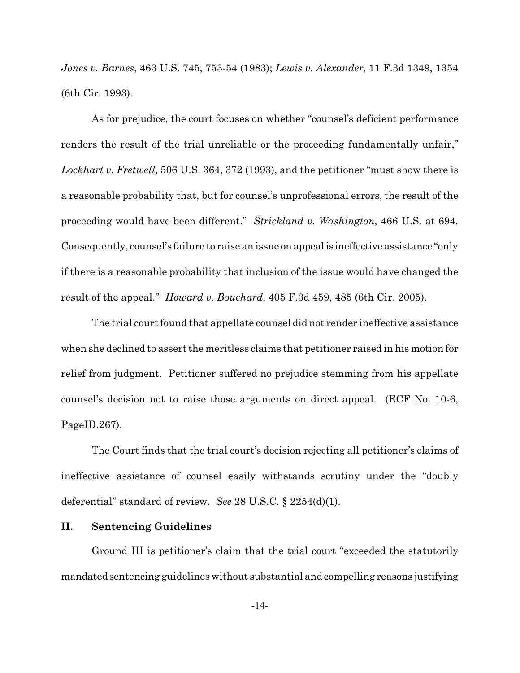*Jones v. Barnes*, 463 U.S. 745, 753-54 (1983); *Lewis v. Alexander*, 11 F.3d 1349, 1354 (6th Cir. 1993).

As for prejudice, the court focuses on whether "counsel's deficient performance renders the result of the trial unreliable or the proceeding fundamentally unfair," *Lockhart v. Fretwell*, 506 U.S. 364, 372 (1993), and the petitioner "must show there is a reasonable probability that, but for counsel's unprofessional errors, the result of the proceeding would have been different." *Strickland v. Washington*, 466 U.S. at 694. Consequently, counsel's failure to raise an issue onappealis ineffective assistance "only if there is a reasonable probability that inclusion of the issue would have changed the result of the appeal." *Howard v. Bouchard*, 405 F.3d 459, 485 (6th Cir. 2005).

The trial court found that appellate counsel did not render ineffective assistance when she declined to assert the meritless claims that petitioner raised in his motion for relief from judgment. Petitioner suffered no prejudice stemming from his appellate counsel's decision not to raise those arguments on direct appeal. (ECF No. 10-6, PageID.267).

The Court finds that the trial court's decision rejecting all petitioner's claims of ineffective assistance of counsel easily withstands scrutiny under the "doubly deferential" standard of review. *See* 28 U.S.C. § 2254(d)(1).

## **II. Sentencing Guidelines**

Ground III is petitioner's claim that the trial court "exceeded the statutorily mandated sentencing guidelines without substantial and compelling reasons justifying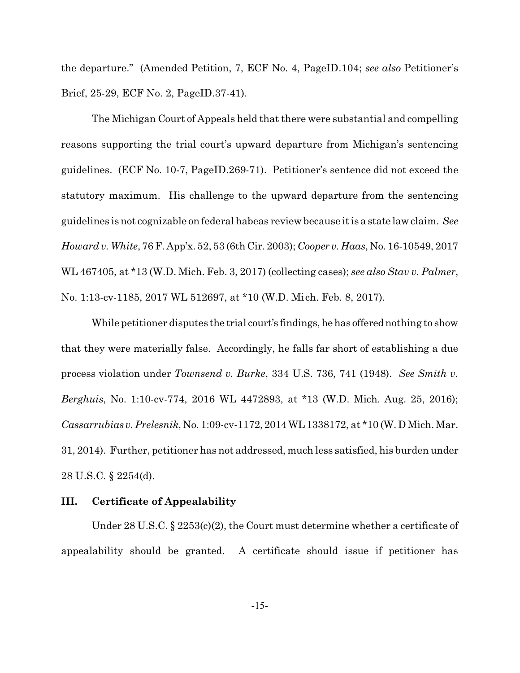the departure." (Amended Petition, 7, ECF No. 4, PageID.104; *see also* Petitioner's Brief, 25-29, ECF No. 2, PageID.37-41).

The Michigan Court of Appeals held that there were substantial and compelling reasons supporting the trial court's upward departure from Michigan's sentencing guidelines. (ECF No. 10-7, PageID.269-71). Petitioner's sentence did not exceed the statutory maximum. His challenge to the upward departure from the sentencing guidelines is not cognizable on federal habeas review because it is a state lawclaim. *See Howard v. White*, 76 F. App'x. 52, 53 (6th Cir. 2003); *Cooper v. Haas*, No. 16-10549, 2017 WL 467405, at \*13 (W.D. Mich. Feb. 3, 2017) (collecting cases); *see also Stav v. Palmer*, No. 1:13-cv-1185, 2017 WL 512697, at \*10 (W.D. Mich. Feb. 8, 2017).

While petitioner disputes the trial court's findings, he has offered nothing to show that they were materially false. Accordingly, he falls far short of establishing a due process violation under *Townsend v. Burke*, 334 U.S. 736, 741 (1948). *See Smith v. Berghuis*, No. 1:10-cv-774, 2016 WL 4472893, at \*13 (W.D. Mich. Aug. 25, 2016); *Cassarrubias v. Prelesnik*, No. 1:09-cv-1172, 2014WL1338172, at \*10 (W. D Mich. Mar. 31, 2014). Further, petitioner has not addressed, much less satisfied, his burden under 28 U.S.C. § 2254(d).

#### **III. Certificate of Appealability**

Under 28 U.S.C. § 2253(c)(2), the Court must determine whether a certificate of appealability should be granted. A certificate should issue if petitioner has